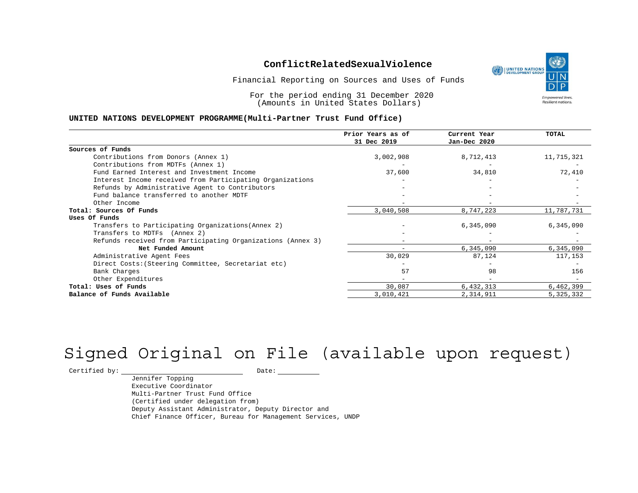Financial Reporting on Sources and Uses of Funds

For the period ending 31 December 2020 (Amounts in United States Dollars)

#### **UNITED NATIONS DEVELOPMENT PROGRAMME(Multi-Partner Trust Fund Office)**

|                                                             | Prior Years as of<br>31 Dec 2019 | Current Year<br>Jan-Dec 2020 | <b>TOTAL</b> |
|-------------------------------------------------------------|----------------------------------|------------------------------|--------------|
|                                                             |                                  |                              |              |
| Sources of Funds                                            |                                  |                              |              |
| Contributions from Donors (Annex 1)                         | 3,002,908                        | 8,712,413                    | 11,715,321   |
| Contributions from MDTFs (Annex 1)                          |                                  |                              |              |
| Fund Earned Interest and Investment Income                  | 37,600                           | 34,810                       | 72,410       |
| Interest Income received from Participating Organizations   |                                  |                              |              |
| Refunds by Administrative Agent to Contributors             |                                  |                              |              |
| Fund balance transferred to another MDTF                    |                                  |                              |              |
| Other Income                                                |                                  |                              |              |
| Total: Sources Of Funds                                     | 3,040,508                        | 8,747,223                    | 11,787,731   |
| Uses Of Funds                                               |                                  |                              |              |
| Transfers to Participating Organizations (Annex 2)          |                                  | 6,345,090                    | 6,345,090    |
| Transfers to MDTFs (Annex 2)                                |                                  |                              |              |
| Refunds received from Participating Organizations (Annex 3) |                                  |                              |              |
| Net Funded Amount                                           |                                  | 6,345,090                    | 6,345,090    |
| Administrative Agent Fees                                   | 30,029                           | 87,124                       | 117,153      |
| Direct Costs: (Steering Committee, Secretariat etc)         |                                  |                              |              |
| Bank Charges                                                | 57                               | 98                           | 156          |
| Other Expenditures                                          |                                  |                              |              |
| Total: Uses of Funds                                        | 30,087                           | 6,432,313                    | 6,462,399    |
| Balance of Funds Available                                  | 3,010,421                        | 2,314,911                    | 5,325,332    |

# Signed Original on File (available upon request)

 $\begin{tabular}{c} \multicolumn{2}{c}{{\texttt{Certified by:}}}} \quad \quad \texttt{Date:} \end{tabular}$ 

Jennifer Topping Executive Coordinator Multi-Partner Trust Fund Office (Certified under delegation from) Deputy Assistant Administrator, Deputy Director and Chief Finance Officer, Bureau for Management Services, UNDP

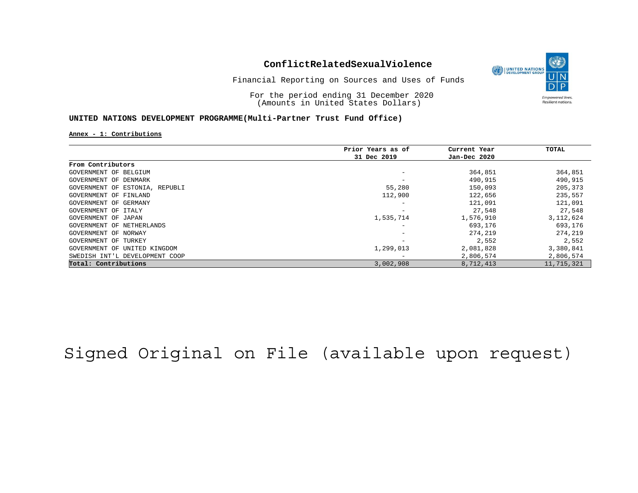

Financial Reporting on Sources and Uses of Funds

For the period ending 31 December 2020 (Amounts in United States Dollars)

#### **UNITED NATIONS DEVELOPMENT PROGRAMME(Multi-Partner Trust Fund Office)**

**Annex - 1: Contributions**

|                                | Prior Years as of | Current Year | TOTAL       |
|--------------------------------|-------------------|--------------|-------------|
|                                | 31 Dec 2019       | Jan-Dec 2020 |             |
| From Contributors              |                   |              |             |
| GOVERNMENT OF BELGIUM          |                   | 364,851      | 364,851     |
| GOVERNMENT OF DENMARK          |                   | 490,915      | 490,915     |
| GOVERNMENT OF ESTONIA, REPUBLI | 55,280            | 150,093      | 205,373     |
| GOVERNMENT OF FINLAND          | 112,900           | 122,656      | 235,557     |
| GOVERNMENT OF GERMANY          |                   | 121,091      | 121,091     |
| GOVERNMENT OF ITALY            |                   | 27,548       | 27,548      |
| GOVERNMENT OF JAPAN            | 1,535,714         | 1,576,910    | 3, 112, 624 |
| GOVERNMENT OF NETHERLANDS      | -                 | 693,176      | 693,176     |
| GOVERNMENT OF NORWAY           |                   | 274,219      | 274,219     |
| GOVERNMENT OF TURKEY           | -                 | 2,552        | 2,552       |
| GOVERNMENT OF UNITED KINGDOM   | 1,299,013         | 2,081,828    | 3,380,841   |
| SWEDISH INT'L DEVELOPMENT COOP |                   | 2,806,574    | 2,806,574   |
| Total: Contributions           | 3,002,908         | 8,712,413    | 11,715,321  |

Signed Original on File (available upon request)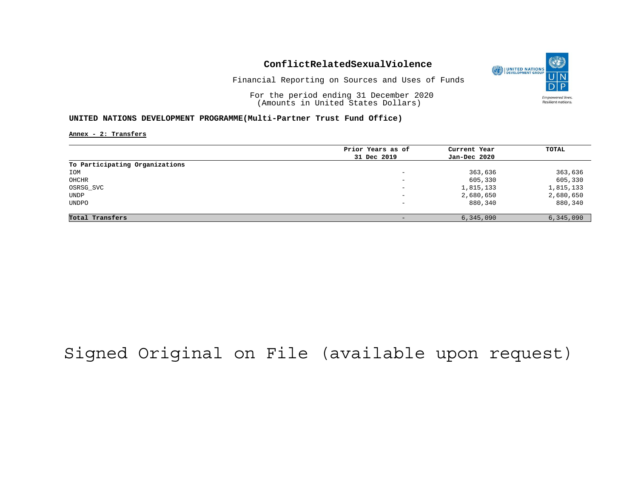

Financial Reporting on Sources and Uses of Funds

For the period ending 31 December 2020 (Amounts in United States Dollars)

#### **UNITED NATIONS DEVELOPMENT PROGRAMME(Multi-Partner Trust Fund Office)**

**Annex - 2: Transfers**

|                                | Prior Years as of | Current Year | TOTAL     |
|--------------------------------|-------------------|--------------|-----------|
|                                | 31 Dec 2019       | Jan-Dec 2020 |           |
| To Participating Organizations |                   |              |           |
| IOM                            | -                 | 363,636      | 363,636   |
| OHCHR                          | -                 | 605,330      | 605,330   |
| OSRSG_SVC                      | -                 | 1,815,133    | 1,815,133 |
| UNDP                           | -                 | 2,680,650    | 2,680,650 |
| UNDPO                          | -                 | 880,340      | 880,340   |
| Total Transfers                |                   | 6,345,090    | 6,345,090 |

## Signed Original on File (available upon request)